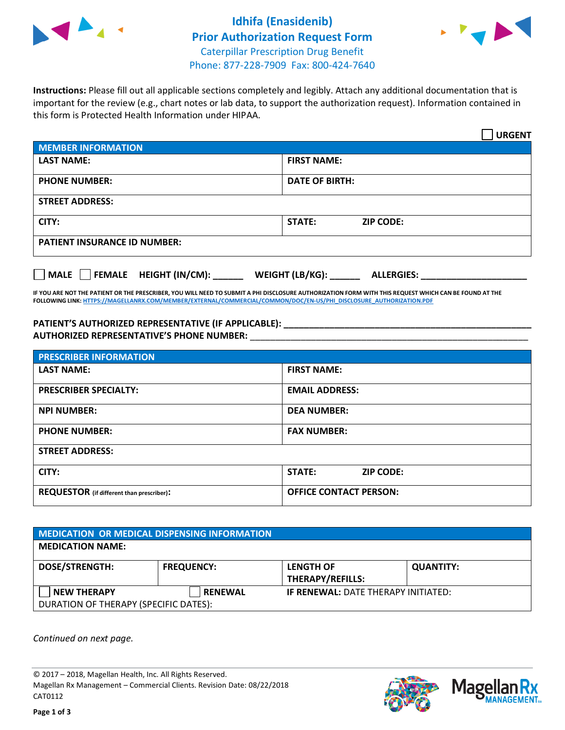



**Instructions:** Please fill out all applicable sections completely and legibly. Attach any additional documentation that is important for the review (e.g., chart notes or lab data, to support the authorization request). Information contained in this form is Protected Health Information under HIPAA.

|                                            | <b>URGENT</b>                        |  |
|--------------------------------------------|--------------------------------------|--|
| <b>MEMBER INFORMATION</b>                  |                                      |  |
| <b>LAST NAME:</b>                          | <b>FIRST NAME:</b>                   |  |
| <b>PHONE NUMBER:</b>                       | <b>DATE OF BIRTH:</b>                |  |
| <b>STREET ADDRESS:</b>                     |                                      |  |
| CITY:                                      | STATE:<br><b>ZIP CODE:</b>           |  |
| <b>PATIENT INSURANCE ID NUMBER:</b>        |                                      |  |
| FEMALE HEIGHT (IN/CM):<br>$ $ MALE $ $ $ $ | WEIGHT (LB/KG):<br><b>ALLERGIES:</b> |  |

**IF YOU ARE NOT THE PATIENT OR THE PRESCRIBER, YOU WILL NEED TO SUBMIT A PHI DISCLOSURE AUTHORIZATION FORM WITH THIS REQUEST WHICH CAN BE FOUND AT THE FOLLOWING LINK[: HTTPS://MAGELLANRX.COM/MEMBER/EXTERNAL/COMMERCIAL/COMMON/DOC/EN-US/PHI\\_DISCLOSURE\\_AUTHORIZATION.PDF](https://magellanrx.com/member/external/commercial/common/doc/en-us/PHI_Disclosure_Authorization.pdf)**

**PATIENT'S AUTHORIZED REPRESENTATIVE (IF APPLICABLE): \_\_\_\_\_\_\_\_\_\_\_\_\_\_\_\_\_\_\_\_\_\_\_\_\_\_\_\_\_\_\_\_\_\_\_\_\_\_\_\_\_\_\_\_\_\_\_\_\_ AUTHORIZED REPRESENTATIVE'S PHONE NUMBER:** \_\_\_\_\_\_\_\_\_\_\_\_\_\_\_\_\_\_\_\_\_\_\_\_\_\_\_\_\_\_\_\_\_\_\_\_\_\_\_\_\_\_\_\_\_\_\_\_\_\_\_\_\_\_\_

| <b>PRESCRIBER INFORMATION</b>             |                               |  |  |  |
|-------------------------------------------|-------------------------------|--|--|--|
| <b>LAST NAME:</b>                         | <b>FIRST NAME:</b>            |  |  |  |
| <b>PRESCRIBER SPECIALTY:</b>              | <b>EMAIL ADDRESS:</b>         |  |  |  |
| <b>NPI NUMBER:</b>                        | <b>DEA NUMBER:</b>            |  |  |  |
| <b>PHONE NUMBER:</b>                      | <b>FAX NUMBER:</b>            |  |  |  |
| <b>STREET ADDRESS:</b>                    |                               |  |  |  |
| CITY:                                     | STATE:<br><b>ZIP CODE:</b>    |  |  |  |
| REQUESTOR (if different than prescriber): | <b>OFFICE CONTACT PERSON:</b> |  |  |  |

| <b>MEDICATION OR MEDICAL DISPENSING INFORMATION</b> |                   |                                             |                  |  |  |
|-----------------------------------------------------|-------------------|---------------------------------------------|------------------|--|--|
| <b>MEDICATION NAME:</b>                             |                   |                                             |                  |  |  |
| <b>DOSE/STRENGTH:</b>                               | <b>FREQUENCY:</b> | <b>LENGTH OF</b><br><b>THERAPY/REFILLS:</b> | <b>QUANTITY:</b> |  |  |
| <b>NEW THERAPY</b>                                  | <b>RENEWAL</b>    | <b>IF RENEWAL: DATE THERAPY INITIATED:</b>  |                  |  |  |
| DURATION OF THERAPY (SPECIFIC DATES):               |                   |                                             |                  |  |  |

*Continued on next page.*

© 2017 – 2018, Magellan Health, Inc. All Rights Reserved. Magellan Rx Management – Commercial Clients. Revision Date: 08/22/2018 CAT0112



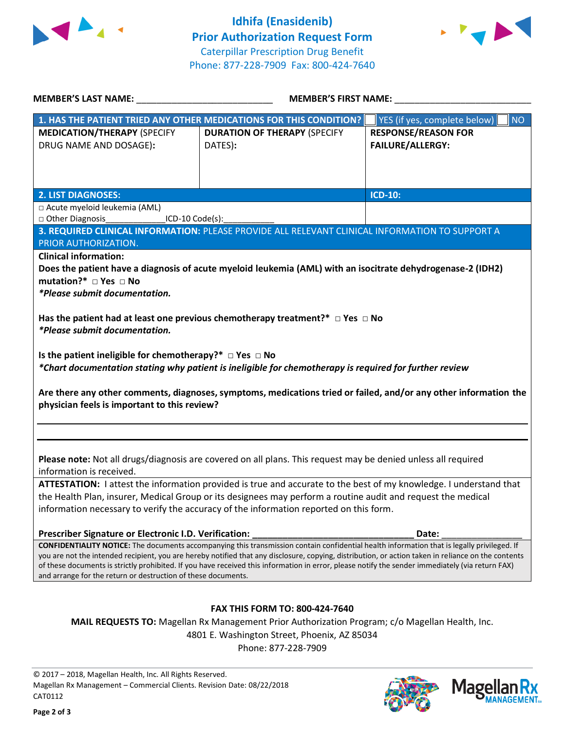



| <b>MEMBER'S LAST NAME:</b> NAME:                                                                                                                                                                       | MEMBER'S FIRST NAME:                                                                                                                                |                                    |  |  |  |
|--------------------------------------------------------------------------------------------------------------------------------------------------------------------------------------------------------|-----------------------------------------------------------------------------------------------------------------------------------------------------|------------------------------------|--|--|--|
|                                                                                                                                                                                                        | 1. HAS THE PATIENT TRIED ANY OTHER MEDICATIONS FOR THIS CONDITION?                                                                                  | YES (if yes, complete below)<br>NO |  |  |  |
| <b>MEDICATION/THERAPY (SPECIFY</b>                                                                                                                                                                     | <b>DURATION OF THERAPY (SPECIFY</b>                                                                                                                 | <b>RESPONSE/REASON FOR</b>         |  |  |  |
| DRUG NAME AND DOSAGE):                                                                                                                                                                                 | DATES):                                                                                                                                             | <b>FAILURE/ALLERGY:</b>            |  |  |  |
|                                                                                                                                                                                                        |                                                                                                                                                     |                                    |  |  |  |
|                                                                                                                                                                                                        |                                                                                                                                                     |                                    |  |  |  |
|                                                                                                                                                                                                        |                                                                                                                                                     |                                    |  |  |  |
| <b>2. LIST DIAGNOSES:</b>                                                                                                                                                                              |                                                                                                                                                     | <b>ICD-10:</b>                     |  |  |  |
| □ Acute myeloid leukemia (AML)                                                                                                                                                                         |                                                                                                                                                     |                                    |  |  |  |
| Other Diagnosis_____________<br>$LO-10 Code(s):$                                                                                                                                                       |                                                                                                                                                     |                                    |  |  |  |
|                                                                                                                                                                                                        | 3. REQUIRED CLINICAL INFORMATION: PLEASE PROVIDE ALL RELEVANT CLINICAL INFORMATION TO SUPPORT A                                                     |                                    |  |  |  |
| PRIOR AUTHORIZATION.                                                                                                                                                                                   |                                                                                                                                                     |                                    |  |  |  |
| <b>Clinical information:</b>                                                                                                                                                                           |                                                                                                                                                     |                                    |  |  |  |
|                                                                                                                                                                                                        | Does the patient have a diagnosis of acute myeloid leukemia (AML) with an isocitrate dehydrogenase-2 (IDH2)                                         |                                    |  |  |  |
| mutation?* $\Box$ Yes $\Box$ No                                                                                                                                                                        |                                                                                                                                                     |                                    |  |  |  |
| <i>*Please submit documentation.</i>                                                                                                                                                                   |                                                                                                                                                     |                                    |  |  |  |
|                                                                                                                                                                                                        |                                                                                                                                                     |                                    |  |  |  |
| *Please submit documentation.                                                                                                                                                                          | Has the patient had at least one previous chemotherapy treatment?* $\Box$ Yes $\Box$ No                                                             |                                    |  |  |  |
|                                                                                                                                                                                                        |                                                                                                                                                     |                                    |  |  |  |
| Is the patient ineligible for chemotherapy?* $\Box$ Yes $\Box$ No                                                                                                                                      |                                                                                                                                                     |                                    |  |  |  |
|                                                                                                                                                                                                        | *Chart documentation stating why patient is ineligible for chemotherapy is required for further review                                              |                                    |  |  |  |
|                                                                                                                                                                                                        |                                                                                                                                                     |                                    |  |  |  |
|                                                                                                                                                                                                        | Are there any other comments, diagnoses, symptoms, medications tried or failed, and/or any other information the                                    |                                    |  |  |  |
| physician feels is important to this review?                                                                                                                                                           |                                                                                                                                                     |                                    |  |  |  |
|                                                                                                                                                                                                        |                                                                                                                                                     |                                    |  |  |  |
|                                                                                                                                                                                                        |                                                                                                                                                     |                                    |  |  |  |
|                                                                                                                                                                                                        |                                                                                                                                                     |                                    |  |  |  |
|                                                                                                                                                                                                        |                                                                                                                                                     |                                    |  |  |  |
| information is received.                                                                                                                                                                               | Please note: Not all drugs/diagnosis are covered on all plans. This request may be denied unless all required                                       |                                    |  |  |  |
|                                                                                                                                                                                                        |                                                                                                                                                     |                                    |  |  |  |
| ATTESTATION: I attest the information provided is true and accurate to the best of my knowledge. I understand that                                                                                     |                                                                                                                                                     |                                    |  |  |  |
| the Health Plan, insurer, Medical Group or its designees may perform a routine audit and request the medical<br>information necessary to verify the accuracy of the information reported on this form. |                                                                                                                                                     |                                    |  |  |  |
|                                                                                                                                                                                                        |                                                                                                                                                     |                                    |  |  |  |
|                                                                                                                                                                                                        |                                                                                                                                                     | Date:                              |  |  |  |
| Prescriber Signature or Electronic I.D. Verification:                                                                                                                                                  | CONFIDENTIALITY NOTICE: The documents accompanying this transmission contain confidential health information that is legally privileged. If         |                                    |  |  |  |
|                                                                                                                                                                                                        | you are not the intended recipient, you are hereby notified that any disclosure, copying, distribution, or action taken in reliance on the contents |                                    |  |  |  |
| of these documents is strictly prohibited. If you have received this information in error, please notify the sender immediately (via return FAX)                                                       |                                                                                                                                                     |                                    |  |  |  |
| and arrange for the return or destruction of these documents.                                                                                                                                          |                                                                                                                                                     |                                    |  |  |  |
|                                                                                                                                                                                                        |                                                                                                                                                     |                                    |  |  |  |
| <b>FAX THIS FORM TO: 800-424-7640</b>                                                                                                                                                                  |                                                                                                                                                     |                                    |  |  |  |
| <b>MAIL REQUESTS TO:</b> Magellan Rx Management Prior Authorization Program; c/o Magellan Health, Inc.                                                                                                 |                                                                                                                                                     |                                    |  |  |  |
|                                                                                                                                                                                                        | 4801 E. Washington Street, Phoenix, AZ 85034                                                                                                        |                                    |  |  |  |
| Phone: 877-228-7909                                                                                                                                                                                    |                                                                                                                                                     |                                    |  |  |  |
|                                                                                                                                                                                                        |                                                                                                                                                     |                                    |  |  |  |

© 2017 – 2018, Magellan Health, Inc. All Rights Reserved. Magellan Rx Management – Commercial Clients. Revision Date: 08/22/2018 CAT0112

**IANAGEMENT**<sub>SM</sub>